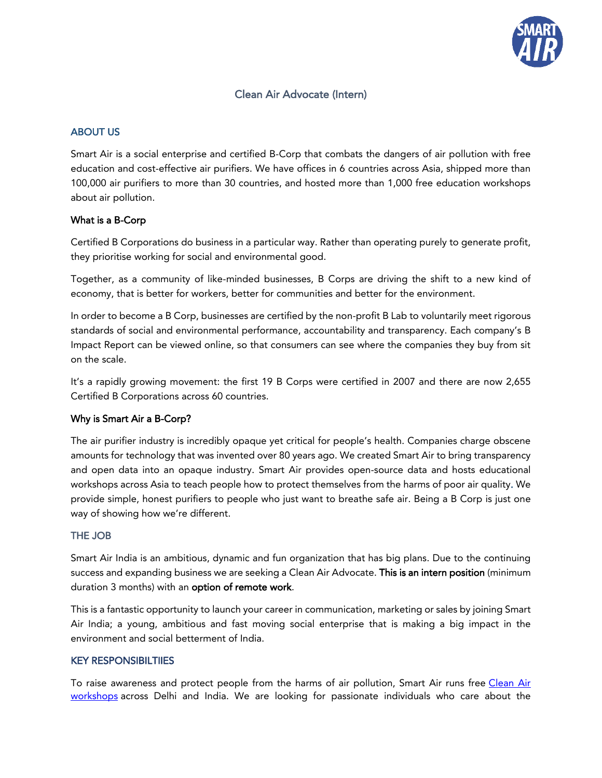

# Clean Air Advocate (Intern)

## ABOUT US

Smart Air is a social enterprise and certified B-Corp that combats the dangers of air pollution with free education and cost-effective air purifiers. We have offices in 6 countries across Asia, shipped more than 100,000 air purifiers to more than 30 countries, and hosted more than 1,000 free education workshops about air pollution.

### What is a B-Corp

[Certified B Corporations](https://bcorporation.eu/) do business in a particular way. Rather than operating purely to generate profit, they prioritise working for social and environmental good.

Together, as a community of like-minded businesses, B Corps are driving the shift to a new kind of economy, that is better for workers, better for communities and better for the environment.

In order to become a B Corp, businesses are certified by the non-profit B Lab to voluntarily meet rigorous standards of social and environmental performance, accountability and transparency. Each company's [B](https://bcorporation.eu/directory/triodos-bank-nv)  [Impact Report](https://bcorporation.eu/directory/triodos-bank-nv) can be viewed online, so that consumers can see where the companies they buy from sit on the scale.

It's a rapidly growing movement: the first 19 B Corps were certified in 2007 and there are now 2,655 Certified B Corporations across 60 countries.

#### Why is Smart Air a B-Corp?

The air purifier industry is incredibly opaque yet critical for people's health. Companies charge obscene amounts for technology that was invented over 80 years ago. We created Smart Air to bring transparency and open data into an opaque industry. Smart Air provides open-source data and hosts educational workshops across Asia to teach people how to protect themselves from the harms of poor air quality. We provide simple, honest purifiers to people who just want to breathe safe air. Being a B Corp is just one way of showing how we're different.

#### THE JOB

Smart Air India is an ambitious, dynamic and fun organization that has big plans. Due to the continuing success and expanding business we are seeking a Clean Air Advocate. This is an intern position (minimum duration 3 months) with an option of remote work.

This is a fantastic opportunity to launch your career in communication, marketing or sales by joining Smart Air India; a young, ambitious and fast moving social enterprise that is making a big impact in the environment and social betterment of India.

#### KEY RESPONSIBILTIIES

To raise awareness and protect people from the harms of air pollution, Smart Air runs free Clean Air [workshops](https://smartairfilters.com/in/en/air-pollution-education/) across Delhi and India. We are looking for passionate individuals who care about the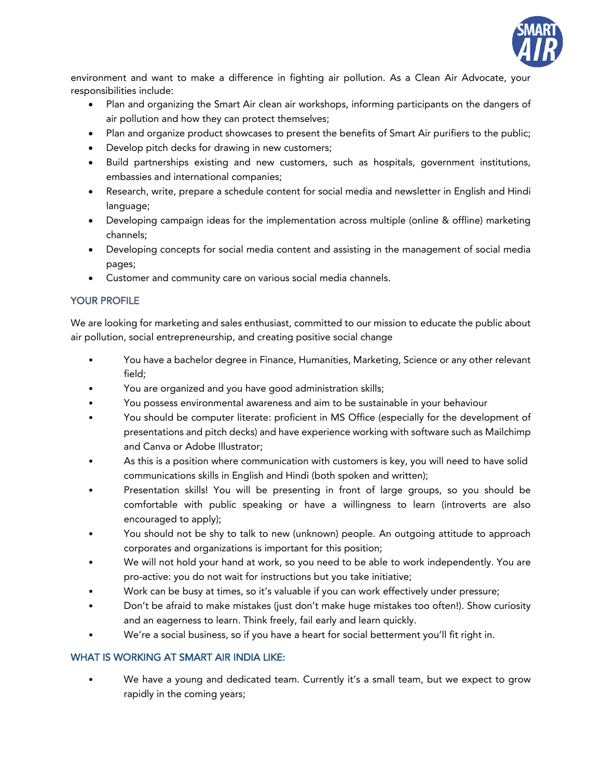

environment and want to make a difference in fighting air pollution. As a Clean Air Advocate, your responsibilities include:

- Plan and organizing the Smart Air clean air workshops, informing participants on the dangers of air pollution and how they can protect themselves;
- Plan and organize product showcases to present the benefits of Smart Air purifiers to the public;
- Develop pitch decks for drawing in new customers;
- Build partnerships existing and new customers, such as hospitals, government institutions, embassies and international companies;
- Research, write, prepare a schedule content for social media and newsletter in English and Hindi language;
- Developing campaign ideas for the implementation across multiple (online & offline) marketing channels;
- Developing concepts for social media content and assisting in the management of social media pages;
- Customer and community care on various social media channels.

## YOUR PROFILE

We are looking for marketing and sales enthusiast, committed to our mission to educate the public about air pollution, social entrepreneurship, and creating positive social change

- You have a bachelor degree in Finance, Humanities, Marketing, Science or any other relevant field;
- You are organized and you have good administration skills;
- You possess environmental awareness and aim to be sustainable in your behaviour
- You should be computer literate: proficient in MS Office (especially for the development of presentations and pitch decks) and have experience working with software such as Mailchimp and Canva or Adobe Illustrator;
- As this is a position where communication with customers is key, you will need to have solid communications skills in English and Hindi (both spoken and written);
- Presentation skills! You will be presenting in front of large groups, so you should be comfortable with public speaking or have a willingness to learn (introverts are also encouraged to apply);
- You should not be shy to talk to new (unknown) people. An outgoing attitude to approach corporates and organizations is important for this position;
- We will not hold your hand at work, so you need to be able to work independently. You are pro-active: you do not wait for instructions but you take initiative;
- Work can be busy at times, so it's valuable if you can work effectively under pressure;
- Don't be afraid to make mistakes (just don't make huge mistakes too often!). Show curiosity and an eagerness to learn. Think freely, fail early and learn quickly.
- We're a social business, so if you have a heart for social betterment you'll fit right in.

### WHAT IS WORKING AT SMART AIR INDIA LIKE:

• We have a young and dedicated team. Currently it's a small team, but we expect to grow rapidly in the coming years;